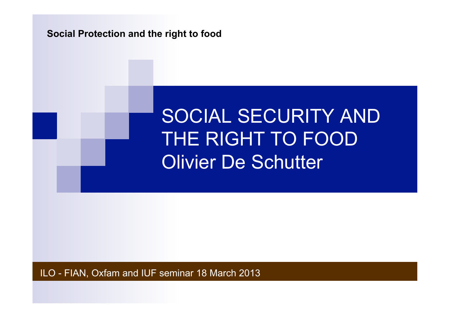#### **Social Protection and the right to food**

# SOCIAL SECURITY AND THE RIGHT TO FOOD Olivier De Schutter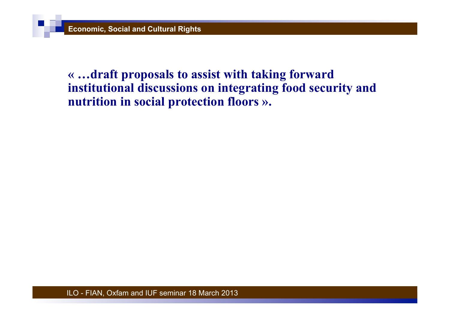# **« …draft proposals to assist with taking forward institutional discussions on integrating food security and nutrition in social protection floors ».**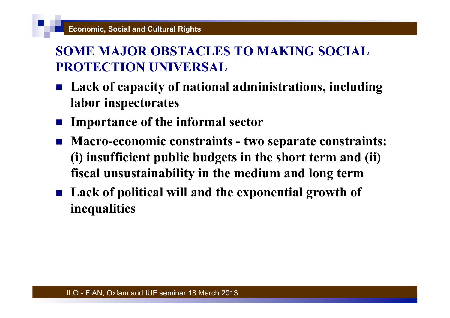# **SOME MAJOR OBSTACLES TO MAKING SOCIAL PROTECTION UNIVERSAL**

- Lack of capacity of national administrations, including **labor inspectorates**
- **Importance of the informal sector**
- Macro-economic constraints two separate constraints: **(i) insufficient public budgets in the short term and (ii) fiscal unsustainability in the medium and long term**
- Lack of political will and the exponential growth of **inequalities**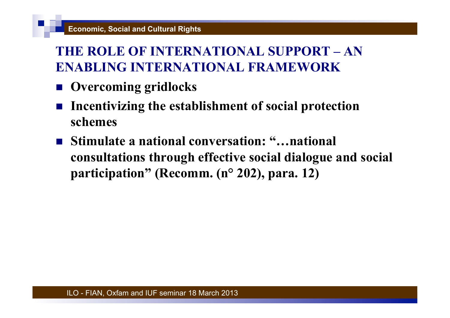# **THE ROLE OF INTERNATIONAL SUPPORT – AN ENABLING INTERNATIONAL FRAMEWORK**

- $\blacksquare$  **Overcoming gridlocks**
- ! **Incentivizing the establishment of social protection schemes**
- Stimulate a national conversation: "…national **consultations through effective social dialogue and social participation" (Recomm. (n° 202), para. 12)**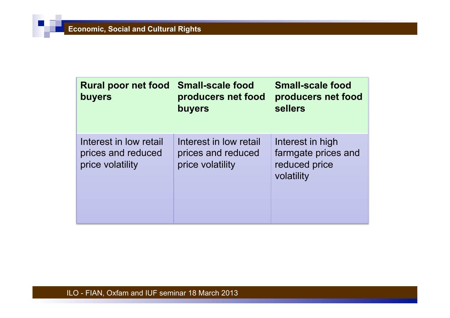| <b>Rural poor net food</b><br>buyers                             | <b>Small-scale food</b><br>producers net food<br>buyers          | <b>Small-scale food</b><br>producers net food<br>sellers               |
|------------------------------------------------------------------|------------------------------------------------------------------|------------------------------------------------------------------------|
| Interest in low retail<br>prices and reduced<br>price volatility | Interest in low retail<br>prices and reduced<br>price volatility | Interest in high<br>farmgate prices and<br>reduced price<br>volatility |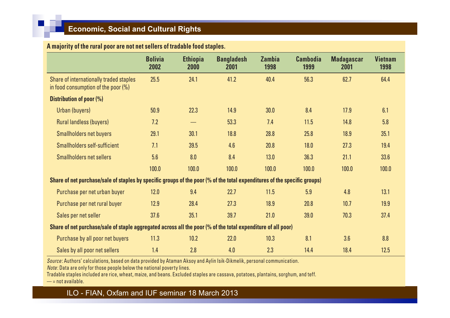#### **Economic, Social and Cultural Rights**

than 50 percent of the poor are in rural landless

#### **A majority of the rural poor are not net sellers of tradable food staples.**

|                                                                                                                           | <b>Bolivia</b><br>2002 | <b>Ethiopia</b><br>2000        | <b>Bangladesh</b><br>2001 | <b>Zambia</b><br>1998 | <b>Cambodia</b><br>1999 | <b>Madagascar</b><br>2001 | <b>Vietnam</b><br>1998 |  |
|---------------------------------------------------------------------------------------------------------------------------|------------------------|--------------------------------|---------------------------|-----------------------|-------------------------|---------------------------|------------------------|--|
| Share of internationally traded staples<br>in food consumption of the poor $(\%)$                                         | 25.5                   | 24.1                           | 41.2                      | 40.4                  | 56.3                    | 62.7                      | 64.4                   |  |
| <b>Distribution of poor (%)</b>                                                                                           |                        |                                |                           |                       |                         |                           |                        |  |
| Urban (buyers)                                                                                                            | 50.9                   | 22.3                           | 14.9                      | 30.0                  | 8.4                     | 17.9                      | 6.1                    |  |
| <b>Rural landless (buyers)</b>                                                                                            | 7.2                    | $\qquad \qquad \longleftarrow$ | 53.3                      | 7.4                   | 11.5                    | 14.8                      | 5.8                    |  |
| <b>Smallholders net buyers</b>                                                                                            | 29.1                   | 30.1                           | 18.8                      | 28.8                  | 25.8                    | 18.9                      | 35.1                   |  |
| Smallholders self-sufficient                                                                                              | 7.1                    | 39.5                           | 4.6                       | 20.8                  | 18.0                    | 27.3                      | 19.4                   |  |
| <b>Smallholders net sellers</b>                                                                                           | 5.6                    | 8.0                            | 8.4                       | 13.0                  | 36.3                    | 21.1                      | 33.6                   |  |
|                                                                                                                           | 100.0                  | 100.0                          | 100.0                     | 100.0                 | 100.0                   | 100.0                     | 100.0                  |  |
| Share of net purchase/sale of staples by specific groups of the poor (% of the total expenditures of the specific groups) |                        |                                |                           |                       |                         |                           |                        |  |
| Purchase per net urban buyer                                                                                              | 12.0                   | 9.4                            | 22.7                      | 11.5                  | 5.9                     | 4.8                       | 13.1                   |  |
| Purchase per net rural buyer                                                                                              | 12.9                   | 28.4                           | 27.3                      | 18.9                  | 20.8                    | 10.7                      | 19.9                   |  |
| Sales per net seller                                                                                                      | 37.6                   | 35.1                           | 39.7                      | 21.0                  | 39.0                    | 70.3                      | 37.4                   |  |
| Share of net purchase/sale of staple aggregated across all the poor (% of the total expenditure of all poor)              |                        |                                |                           |                       |                         |                           |                        |  |
| Purchase by all poor net buyers                                                                                           | 11.3                   | 10.2                           | 22.0                      | 10.3                  | 8.1                     | 3.6                       | 8.8                    |  |
| Sales by all poor net sellers                                                                                             | 1.4                    | 2.8                            | 4.0                       | 2.3                   | 14.4                    | 18.4                      | 12.5                   |  |

Vietnam have many smallholders who are

Source: Authors' calculations, based on data provided by Ataman Aksoy and Aylin Isik-Dikmelik, personal communication.

Note: Data are only for those people below the national poverty lines.

Tradable staples included are rice, wheat, maize, and beans. Excluded staples are cassava, potatoes, plantains, sorghum, and teff.  $-$  = not available.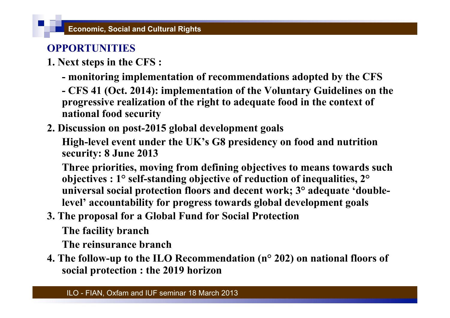# **OPPORTUNITIES**

- **1. Next steps in the CFS :** 
	- **monitoring implementation of recommendations adopted by the CFS**
	- **CFS 41 (Oct. 2014): implementation of the Voluntary Guidelines on the progressive realization of the right to adequate food in the context of national food security**
- **2. Discussion on post-2015 global development goals**

**High-level event under the UK's G8 presidency on food and nutrition security: 8 June 2013** 

**Three priorities, moving from defining objectives to means towards such objectives : 1° self-standing objective of reduction of inequalities, 2° universal social protection floors and decent work; 3° adequate 'doublelevel' accountability for progress towards global development goals** 

**3. The proposal for a Global Fund for Social Protection** 

**The facility branch** 

**The reinsurance branch** 

**4. The follow-up to the ILO Recommendation (n° 202) on national floors of social protection : the 2019 horizon**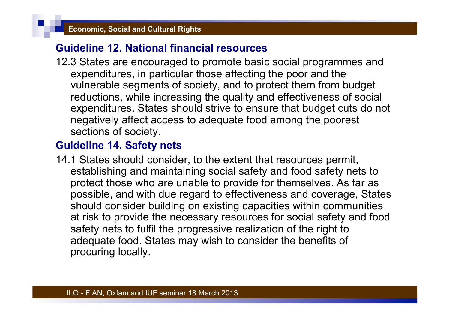## **Guideline 12. National financial resources**

12.3 States are encouraged to promote basic social programmes and expenditures, in particular those affecting the poor and the vulnerable segments of society, and to protect them from budget reductions, while increasing the quality and effectiveness of social expenditures. States should strive to ensure that budget cuts do not negatively affect access to adequate food among the poorest sections of society.

# **Guideline 14. Safety nets**

14.1 States should consider, to the extent that resources permit, establishing and maintaining social safety and food safety nets to protect those who are unable to provide for themselves. As far as possible, and with due regard to effectiveness and coverage, States should consider building on existing capacities within communities at risk to provide the necessary resources for social safety and food safety nets to fulfil the progressive realization of the right to adequate food. States may wish to consider the benefits of procuring locally.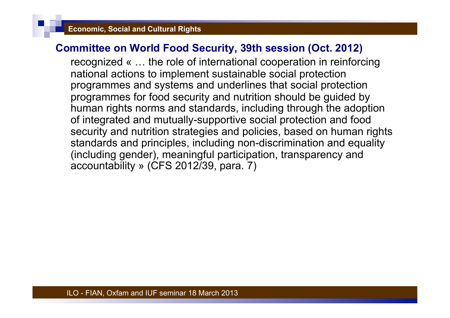### **Committee on World Food Security, 39th session (Oct. 2012)**

recognized « … the role of international cooperation in reinforcing national actions to implement sustainable social protection programmes and systems and underlines that social protection programmes for food security and nutrition should be guided by human rights norms and standards, including through the adoption of integrated and mutually-supportive social protection and food security and nutrition strategies and policies, based on human rights standards and principles, including non-discrimination and equality (including gender), meaningful participation, transparency and accountability » (CFS 2012/39, para. 7)